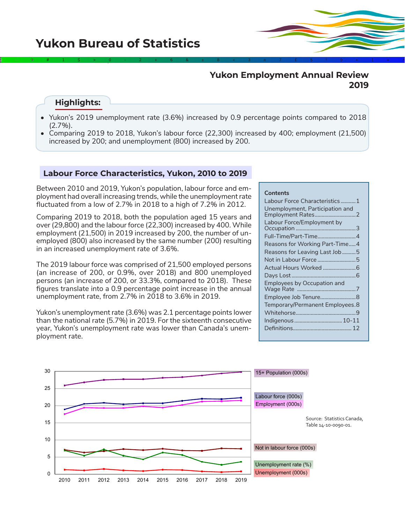# 2÷9#1\$>0-2+6&±8<3π7£5‡9≈1∞^

# **Yukon Employment Annual Review 2019**

# **Highlights:**

- Yukon's 2019 unemployment rate (3.6%) increased by 0.9 percentage points compared to 2018 (2.7%).
- Comparing 2019 to 2018, Yukon's labour force (22,300) increased by 400; employment (21,500) increased by 200; and unemployment (800) increased by 200.

## **Labour Force Characteristics, Yukon, 2010 to 2019**

Between 2010 and 2019, Yukon's population, labour force and employment had overall increasing trends, while the unemployment rate fluctuated from a low of 2.7% in 2018 to a high of 7.2% in 2012.

Comparing 2019 to 2018, both the population aged 15 years and over (29,800) and the labour force (22,300) increased by 400. While employment (21,500) in 2019 increased by 200, the number of unemployed (800) also increased by the same number (200) resulting in an increased unemployment rate of 3.6%.

The 2019 labour force was comprised of 21,500 employed persons (an increase of 200, or 0.9%, over 2018) and 800 unemployed persons (an increase of 200, or 33.3%, compared to 2018). These figures translate into a 0.9 percentage point increase in the annual unemployment rate, from 2.7% in 2018 to 3.6% in 2019.

Yukon's unemployment rate (3.6%) was 2.1 percentage points lower than the national rate (5.7%) in 2019. For the sixteenth consecutive year, Yukon's unemployment rate was lower than Canada's unemployment rate.

## **Contents**

| Labour Force Characteristics1   |
|---------------------------------|
| Unemployment, Participation and |
| Labour Force/Employment by      |
| Full-Time/Part-Time 4           |
| Reasons for Working Part-Time4  |
| Reasons for Leaving Last Job5   |
| Not in Labour Force5            |
|                                 |
|                                 |
| Employees by Occupation and     |
|                                 |
| Temporary/Permanent Employees.8 |
|                                 |
| Indigenous  10-11               |
|                                 |
|                                 |

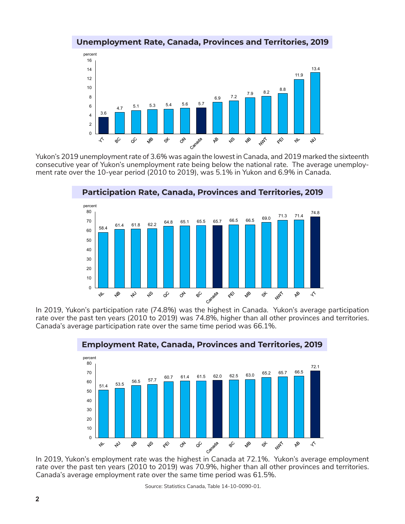

## **Unemployment Rate, Canada, Provinces and Territories, 2019**

Yukon's 2019 unemployment rate of 3.6% was again the lowest in Canada, and 2019 marked the sixteenth consecutive year of Yukon's unemployment rate being below the national rate. The average unemployment rate over the 10-year period (2010 to 2019), was 5.1% in Yukon and 6.9% in Canada.



**Participation Rate, Canada, Provinces and Territories, 2019**

In 2019, Yukon's participation rate (74.8%) was the highest in Canada. Yukon's average participation rate over the past ten years (2010 to 2019) was 74.8%, higher than all other provinces and territories. Canada's average participation rate over the same time period was 66.1%.



## **Employment Rate, Canada, Provinces and Territories, 2019**

rate over the past ten years (2010 to 2019) was 70.9%, higher than all other provinces and territories. Canada's average employment rate over the same time period was 61.5%.

Source: Statistics Canada, Table 14-10-0090-01.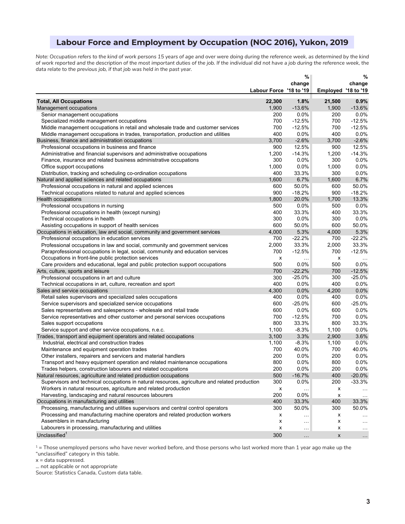# **Labour Force and Employment by Occupation (NOC 2016), Yukon, 2019**

*Note: Occupation refers to the kind of work persons 15 years of age and over were doing during the reference week, as determined by the kind*  of work reported and the description of the most important duties of the job. If the individual did not have a job during the reference week, the *data relate to the previous job, if that job was held in the past year.*

|                                                                                                |                         | $\%$             |                     | %                    |
|------------------------------------------------------------------------------------------------|-------------------------|------------------|---------------------|----------------------|
|                                                                                                |                         | change           |                     | change               |
|                                                                                                | Labour Force '18 to '19 |                  | Employed '18 to '19 |                      |
| <b>Total, All Occupations</b>                                                                  | 22,300                  | 1.8%             | 21,500              | 0.9%                 |
| Management occupations                                                                         | 1,900                   | $-13.6%$         | 1,900               | $-13.6%$             |
| Senior management occupations                                                                  | 200                     | $0.0\%$          | 200                 | 0.0%                 |
| Specialized middle management occupations                                                      | 700                     | $-12.5%$         | 700                 | $-12.5%$             |
| Middle management occupations in retail and wholesale trade and customer services              | 700                     | $-12.5%$         | 700                 | $-12.5%$             |
| Middle management occupations in trades, transportation, production and utilities              | 400                     | $0.0\%$          | 400                 | 0.0%                 |
| Business, finance and administration occupations                                               | 3,700                   | $-2.6%$          | 3,700               | $-2.6%$              |
| Professional occupations in business and finance                                               | 900                     | 12.5%            | 900                 | 12.5%                |
| Administrative and financial supervisors and administrative occupations                        | 1,200                   | $-14.3%$         | 1,200               | $-14.3%$             |
| Finance, insurance and related business administrative occupations                             | 300                     | $0.0\%$          | 300                 | 0.0%                 |
| Office support occupations                                                                     | 1,000                   | 0.0%             | 1,000               | 0.0%                 |
| Distribution, tracking and scheduling co-ordination occupations                                | 400                     | 33.3%            | 300                 | 0.0%                 |
| Natural and applied sciences and related occupations                                           | 1,600                   | 6.7%             | 1,600               | 6.7%                 |
| Professional occupations in natural and applied sciences                                       | 600                     | 50.0%            | 600                 | 50.0%                |
| Technical occupations related to natural and applied sciences                                  | 900                     | $-18.2%$         | 900                 | $-18.2%$             |
|                                                                                                | 1,800                   | 20.0%            | 1,700               | 13.3%                |
| Health occupations<br>Professional occupations in nursing                                      | 500                     | 0.0%             | 500                 | 0.0%                 |
|                                                                                                |                         |                  |                     |                      |
| Professional occupations in health (except nursing)                                            | 400                     | 33.3%            | 400                 | 33.3%                |
| Technical occupations in health                                                                | 300                     | 0.0%             | 300                 | 0.0%                 |
| Assisting occupations in support of health services                                            | 600<br>4,000            | 50.0%            | 600                 | 50.0%                |
| Occupations in education, law and social, community and government services                    |                         | 5.3%<br>$-22.2%$ | 4,000               | 5.3%<br>$-22.2%$     |
| Professional occupations in education services                                                 | 700                     |                  | 700                 |                      |
| Professional occupations in law and social, community and government services                  | 2,000                   | 33.3%            | 2,000               | 33.3%                |
| Paraprofessional occupations in legal, social, community and education services                | 700                     | $-12.5%$         | 700                 | $-12.5%$             |
| Occupations in front-line public protection services                                           | x                       | .                | x                   |                      |
| Care providers and educational, legal and public protection support occupations                | 500                     | $0.0\%$          | 500                 | 0.0%                 |
| Arts, culture, sports and leisure                                                              | 700                     | $-22.2%$         | 700                 | $-12.5%$             |
| Professional occupations in art and culture                                                    | 300                     | $-25.0%$         | 300                 | $-25.0%$             |
| Technical occupations in art, culture, recreation and sport                                    | 400                     | $0.0\%$          | 400                 | 0.0%                 |
| Sales and service occupations                                                                  | 4,300                   | 0.0%             | 4,200               | 0.0%                 |
| Retail sales supervisors and specialized sales occupations                                     | 400                     | $0.0\%$          | 400                 | 0.0%                 |
| Service supervisors and specialized service occupations                                        | 600                     | $-25.0%$         | 600                 | $-25.0%$             |
| Sales representatives and salespersons - wholesale and retail trade                            | 600                     | $0.0\%$          | 600                 | 0.0%                 |
| Service representatives and other customer and personal services occupations                   | 700                     | $-12.5%$         | 700                 | 0.0%                 |
| Sales support occupations                                                                      | 800                     | 33.3%            | 800                 | 33.3%                |
| Service support and other service occupations, n.e.c.                                          | 1,100                   | $-8.3%$          | 1,100               | 0.0%                 |
| Trades, transport and equipment operators and related occupations                              | 3,100                   | 3.3%             | 2,900               | 3.6%                 |
| Industrial, electrical and construction trades                                                 | 1,100                   | $-8.3%$          | 1,100               | $0.0\%$              |
| Maintenance and equipment operation trades                                                     | 700                     | 40.0%            | 700                 | 40.0%                |
| Other installers, repairers and servicers and material handlers                                | 200                     | $0.0\%$          | 200                 | 0.0%                 |
| Transport and heavy equipment operation and related maintenance occupations                    | 800                     | 0.0%             | 800                 | 0.0%                 |
| Trades helpers, construction labourers and related occupations                                 | 200                     | 0.0%             | 200                 | 0.0%                 |
| Natural resources, agriculture and related production occupations                              | 500                     | $-16.7%$         | 400                 | $-20.0\%$            |
| Supervisors and technical occupations in natural resources, agriculture and related production | 300                     | 0.0%             | 200                 | $-33.3%$             |
| Workers in natural resources, agriculture and related production                               | x                       | $\ldots$         | х                   | $\cdots$             |
| Harvesting, landscaping and natural resources labourers                                        | 200                     | 0.0%             | х                   | $\sim$ $\sim$        |
| Occupations in manufacturing and utilities                                                     | 400                     | 33.3%            | 400                 | 33.3%                |
| Processing, manufacturing and utilities supervisors and central control operators              | 300                     | 50.0%            | 300                 | 50.0%                |
| Processing and manufacturing machine operators and related production workers                  | х                       |                  | x                   |                      |
| Assemblers in manufacturing                                                                    | х                       | $\cdots$         | x                   | $\sim$ $\sim$ $\sim$ |
| Labourers in processing, manufacturing and utilities                                           | х                       | $\ddotsc$        | x                   | $\ldots$             |
| Unclassified <sup>1</sup>                                                                      | 300                     | $\cdots$         | X                   | $\ldots$             |

 $1$  = Those unemployed persons who have never worked before, and those persons who last worked more than 1 year ago make up the "unclassified" category in this table.

 $x =$  data suppressed.

... not applicable or not appropriate

Source: Statistics Canada, Custom data table.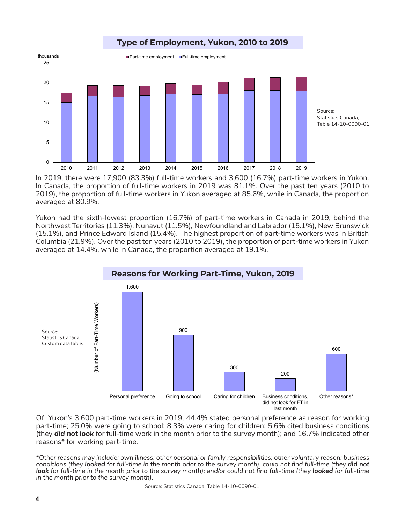

In 2019, there were 17,900 (83.3%) full-time workers and 3,600 (16.7%) part-time workers in Yukon. In Canada, the proportion of full-time workers in 2019 was 81.1%. Over the past ten years (2010 to 2019), the proportion of full-time workers in Yukon averaged at 85.6%, while in Canada, the proportion averaged at 80.9%.

Yukon had the sixth-lowest proportion (16.7%) of part-time workers in Canada in 2019, behind the Northwest Territories (11.3%), Nunavut (11.5%), Newfoundland and Labrador (15.1%), New Brunswick (15.1%), and Prince Edward Island (15.4%). The highest proportion of part-time workers was in British Columbia (21.9%). Over the past ten years (2010 to 2019), the proportion of part-time workers in Yukon averaged at 14.4%, while in Canada, the proportion averaged at 19.1%.



Of Yukon's 3,600 part-time workers in 2019, 44.4% stated personal preference as reason for working part-time; 25.0% were going to school; 8.3% were caring for children; 5.6% cited business conditions (they *did not look* for full-time work in the month prior to the survey month); and 16.7% indicated other reasons\* for working part-time.

*\*Other reasons may include: own illness; other personal or family responsibilities; other voluntary reason; business conditions (they looked for full-time in the month prior to the survey month); could not find full-time (they did not* **look** for full-time in the month prior to the survey month); and/or could not find full-time (they **looked** for full-time *in the month prior to the survey month).*

Source: Statistics Canada, Table 14-10-0090-01.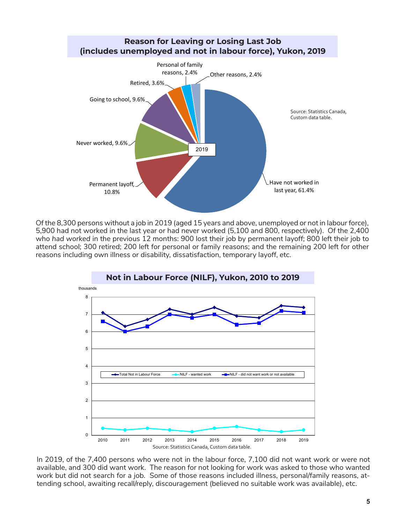

Of the 8,300 persons without a job in 2019 (aged 15 years and above, unemployed or not in labour force), 5,900 had not worked in the last year or had never worked (5,100 and 800, respectively). Of the 2,400 who *had worked* in the previous 12 months: 900 lost their job by permanent layoff; 800 left their job to attend school; 300 retired; 200 left for personal or family reasons; and the remaining 200 left for other reasons including own illness or disability, dissatisfaction, temporary layoff, etc.



In 2019, of the 7,400 persons who were not in the labour force, 7,100 did not want work or were not available, and 300 did want work. The reason for not looking for work was asked to those who wanted work but did not search for a job. Some of those reasons included illness, personal/family reasons, attending school, awaiting recall/reply, discouragement (believed no suitable work was available), etc.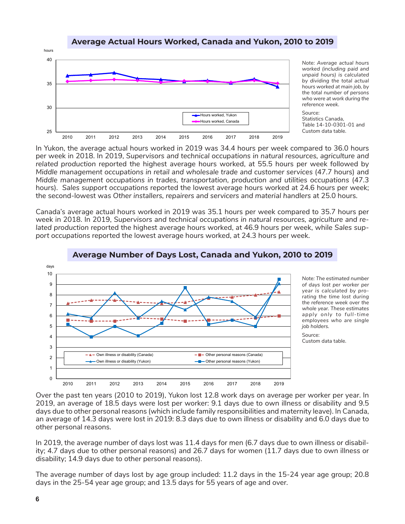## **Average Actual Hours Worked, Canada and Yukon, 2010 to 2019**



*Note: Average actual hours worked (including paid and unpaid hours) is calculated by dividing the total actual hours worked at main job, by the total number of persons who were at work during the reference week.*

Source: Statistics Canada, Table 14-10-0301-01 and Custom data table.

In Yukon, the average actual hours worked in 2019 was 34.4 hours per week compared to 36.0 hours per week in 2018. In 2019, *Supervisors and technical occupations in natural resources, agriculture and related production* reported the highest average hours worked, at 55.5 hours per week followed by *Middle management occupations in retail and wholesale trade and customer services* (47.7 hours) and *Middle management occupations in trades, transportation, production and utilities occupations* (47.3 hours). *Sales support occupations* reported the lowest average hours worked at 24.6 hours per week; the second-lowest was *Other installers, repairers and servicers and material handlers* at 25.0 hours.

Canada's average actual hours worked in 2019 was 35.1 hours per week compared to 35.7 hours per week in 2018. In 2019, *Supervisors and technical occupations in natural resources, agriculture and related production* reported the highest average hours worked, at 46.9 hours per week, while *Sales support occupations* reported the lowest average hours worked, at 24.3 hours per week.



## **Average Number of Days Lost, Canada and Yukon, 2010 to 2019**

*Note: The estimated number of days lost per worker per year is calculated by prorating the time lost during the reference week over the whole year. These estimates apply only to full-time employees who are single job holders.*

Source: Custom data table.

Over the past ten years (2010 to 2019), Yukon lost 12.8 work days on average per worker per year. In 2019, an average of 18.5 days were lost per worker: 9.1 days due to own illness or disability and 9.5 days due to other personal reasons (which include family responsibilities and maternity leave). In Canada, an average of 14.3 days were lost in 2019: 8.3 days due to own illness or disability and 6.0 days due to other personal reasons.

In 2019, the average number of days lost was 11.4 days for men (6.7 days due to own illness or disability; 4.7 days due to other personal reasons) and 26.7 days for women (11.7 days due to own illness or disability; 14.9 days due to other personal reasons).

The average number of days lost by age group included: 11.2 days in the 15-24 year age group; 20.8 days in the 25-54 year age group; and 13.5 days for 55 years of age and over.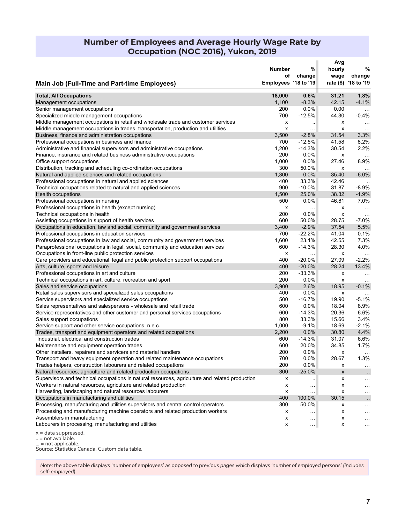# **Number of Employees and Average Hourly Wage Rate by Occupation (NOC 2016), Yukon, 2019**

|                                                                                                | Number               | %                    | Avg<br>hourly  | %                          |
|------------------------------------------------------------------------------------------------|----------------------|----------------------|----------------|----------------------------|
|                                                                                                | οf                   | change               | wage           | change                     |
| <b>Main Job (Full-Time and Part-time Employees)</b>                                            | Employees '18 to '19 |                      |                | rate (\$) '18 to '19       |
| <b>Total, All Occupations</b>                                                                  | 18,000               | 0.6%                 | 31.21          | 1.8%                       |
| Management occupations                                                                         | 1,100                | $-8.3%$              | 42.15          | $-4.1%$                    |
| Senior management occupations                                                                  | 200                  | 0.0%                 | 0.00           | $\sim$ $\sim$              |
| Specialized middle management occupations                                                      | 700                  | $-12.5%$             | 44.30          | $-0.4%$                    |
| Middle management occupations in retail and wholesale trade and customer services              | x                    | $\ddot{\phantom{1}}$ | x              | $\ddotsc$                  |
| Middle management occupations in trades, transportation, production and utilities              | x                    | $\sim$ .             | x              | $\sim$ $\sim$ $\sim$       |
| Business, finance and administration occupations                                               | 3,500                | $-2.8%$              | 31.54          | 3.3%                       |
| Professional occupations in business and finance                                               | 700                  | $-12.5%$             | 41.58          | 8.2%                       |
| Administrative and financial supervisors and administrative occupations                        | 1,200                | $-14.3%$             | 30.54          | 2.2%                       |
| Finance, insurance and related business administrative occupations                             | 200                  | 0.0%                 | x              |                            |
| Office support occupations                                                                     | 1,000                | 0.0%                 | 27.46          | 8.9%                       |
| Distribution, tracking and scheduling co-ordination occupations                                | 300                  | 50.0%                | х              |                            |
| Natural and applied sciences and related occupations                                           | 1,300                | 0.0%                 | 35.40          | $-6.0%$                    |
| Professional occupations in natural and applied sciences                                       | 400                  | 33.3%                | 42.46          |                            |
| Technical occupations related to natural and applied sciences                                  | 900                  | $-10.0%$             | 31.87          | $-8.9%$                    |
| Health occupations                                                                             | 1,500                | 25.0%                | 38.32          | $-1.9%$                    |
| Professional occupations in nursing                                                            | 500                  | 0.0%                 | 46.81          | 7.0%                       |
| Professional occupations in health (except nursing)                                            | х                    | $\sim$ $\sim$        | x              | $\sim$ $\sim$              |
| Technical occupations in health                                                                | 200                  | $0.0\%$              | x              | $\cdots$                   |
| Assisting occupations in support of health services                                            | 600                  | 50.0%                | 28.75          | $-7.0%$                    |
| Occupations in education, law and social, community and government services                    | 3,400                | $-2.9%$              | 37.54          | 5.5%                       |
| Professional occupations in education services                                                 | 700                  | $-22.2%$             | 41.04          | 0.1%                       |
| Professional occupations in law and social, community and government services                  | 1,600                | 23.1%                | 42.55          | 7.3%                       |
| Paraprofessional occupations in legal, social, community and education services                | 600                  | $-14.3%$             | 28.30          | 4.0%                       |
| Occupations in front-line public protection services                                           | x                    | $\ldots$             | x              | $\ddotsc$                  |
| Care providers and educational, legal and public protection support occupations                | 400                  | $-20.0%$             | 27.09          | $-2.2%$                    |
| Arts, culture, sports and leisure                                                              | 400                  | $-20.0%$             | 28.24          | 13.4%                      |
| Professional occupations in art and culture                                                    | 200                  | $-33.3%$             | x              | $\cdots$                   |
| Technical occupations in art, culture, recreation and sport                                    | 200                  | $0.0\%$              | x              | $\cdots$                   |
| Sales and service occupations                                                                  | 3,900                | 2.6%                 | 18.95          | $-0.1%$                    |
| Retail sales supervisors and specialized sales occupations                                     | 400                  | 0.0%                 | x              |                            |
| Service supervisors and specialized service occupations                                        | 500                  | $-16.7%$             | 19.90          | $-5.1%$                    |
| Sales representatives and salespersons - wholesale and retail trade                            | 600                  | 0.0%                 | 18.04          | 8.9%                       |
| Service representatives and other customer and personal services occupations                   | 600                  | $-14.3%$             | 20.36          | 6.6%                       |
| Sales support occupations                                                                      | 800                  | 33.3%                | 15.66          | 3.4%                       |
| Service support and other service occupations, n.e.c.                                          | 1,000                | $-9.1%$              | 18.69          | $-2.1%$                    |
| Trades, transport and equipment operators and related occupations                              | 2,200                | 0.0%                 | 30.80          | 4.4%                       |
| Industrial, electrical and construction trades                                                 | 600                  | $-14.3%$             | 31.07          | 6.6%                       |
| Maintenance and equipment operation trades                                                     | 600                  | 20.0%                | 34.85          | 1.7%                       |
| Other installers, repairers and servicers and material handlers                                | 200                  | 0.0%                 | х              |                            |
| Transport and heavy equipment operation and related maintenance occupations                    | 700                  | $0.0\%$              | 28.67          | 1.3%                       |
| Trades helpers, construction labourers and related occupations                                 | 200                  | 0.0%                 | х              | $\sim$ $\sim$              |
| Natural resources, agriculture and related production occupations                              | 300                  | $-25.0%$             | $\pmb{\times}$ |                            |
| Supervisors and technical occupations in natural resources, agriculture and related production | х                    | $\ddotsc$            | х              | $\cdot$ .<br>$\sim$ $\sim$ |
| Workers in natural resources, agriculture and related production                               | х                    |                      | x              | $\cdots$                   |
| Harvesting, landscaping and natural resources labourers                                        | х                    | $\sim$               | x              |                            |
| Occupations in manufacturing and utilities                                                     | 400                  | $\ldots$<br>100.0%   | 30.15          | $\cdots$                   |
| Processing, manufacturing and utilities supervisors and central control operators              | 300                  | 50.0%                | х              | $\cdot$                    |
| Processing and manufacturing machine operators and related production workers                  | х                    |                      | X              | $\cdots$                   |
| Assemblers in manufacturing                                                                    | х                    | $\ldots$             | x              | $\cdots$                   |
| Labourers in processing, manufacturing and utilities                                           | x                    | $\cdots$             | x              | $\sim$                     |
|                                                                                                |                      | $\sim$ $\sim$ $\sim$ |                | $\sim$ $\sim$ $\sim$       |

 $x =$  data suppressed.

.. = not available.

... = not applicable.

Source: Statistics Canada, Custom data table.

*Note: the above table displays 'number of employees' as opposed to previous pages which displays 'number of employed persons' (includes self-employed).*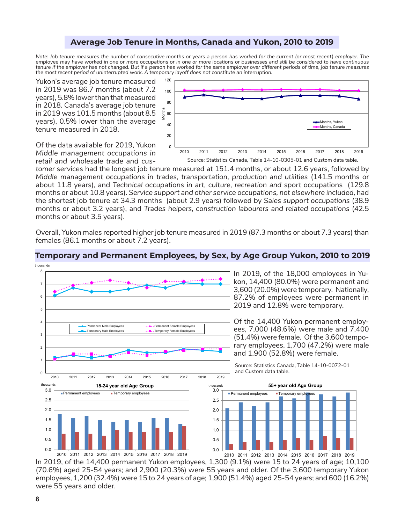## **Average Job Tenure in Months, Canada and Yukon, 2010 to 2019**

*Note: Job tenure measures the number of consecutive months or years a person has worked for the current (or most recent) employer. The employee may have worked in one or more occupations or in one or more locations or businesses and still be considered to have continuous*  tenure if the employer has not changed. But if a person has worked for the same employer over different periods of time, job tenure measures *the most recent period of uninterrupted work. A temporary layoff does not constitute an interruption.*

Yukon's average job tenure measured in 2019 was 86.7 months (about 7.2 years), 5.8% lower than that measured in 2018. Canada's average job tenure in 2019 was 101.5 months (about 8.5 years), 0.5% lower than the average tenure measured in 2018.



Of the data available for 2019, Yukon *Middle management occupations in retail and wholesale trade and cus-*

*tomer services* had the longest job tenure measured at 151.4 months, or about 12.6 years, followed by *Middle management occupations in trades, transportation, production and utilities* (141.5 months or about 11.8 years), and *Technical occupations in art, culture, recreation and sport* occupations (129.8 months or about 10.8 years). *Service support and other service occupations, not elsewhere included,* had the shortest job tenure at 34.3 months (about 2.9 years) followed by *Sales support occupations* (38.9 months or about 3.2 years), and *Trades helpers, construction labourers and related occupations* (42.5 months or about 3.5 years).

Overall, Yukon males reported higher job tenure measured in 2019 (87.3 months or about 7.3 years) than females (86.1 months or about 7.2 years).



## **Temporary and Permanent Employees, by Sex, by Age Group Yukon, 2010 to 2019**

In 2019, of the 14,400 permanent Yukon employees, 1,300 (9.1%) were 15 to 24 years of age; 10,100 (70.6%) aged 25-54 years; and 2,900 (20.3%) were 55 years and older. Of the 3,600 temporary Yukon employees, 1,200 (32.4%) were 15 to 24 years of age; 1,900 (51.4%) aged 25-54 years; and 600 (16.2%) were 55 years and older.

thousands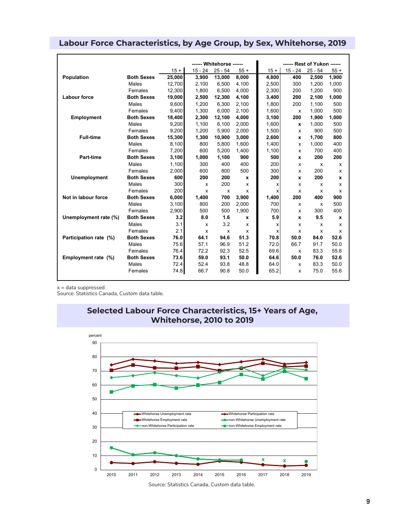|                        |                   | ------ Whitehorse ------ |         |           |       |        | ------ Rest of Yukon ------ |           |              |
|------------------------|-------------------|--------------------------|---------|-----------|-------|--------|-----------------------------|-----------|--------------|
|                        |                   | $15 +$                   | 15 - 24 | $25 - 54$ | $55+$ | $15 +$ | $15 - 24$                   | $25 - 54$ | $55+$        |
| Population             | <b>Both Sexes</b> | 25,000                   | 3,900   | 13,000    | 8,000 | 4,800  | 400                         | 2,500     | 1,900        |
|                        | Males             | 12.700                   | 2.100   | 6.500     | 4.100 | 2.500  | 300                         | 1.200     | 1,000        |
|                        | Females           | 12.300                   | 1.800   | 6,500     | 4.000 | 2.300  | 200                         | 1.200     | 900          |
| Labour force           | <b>Both Sexes</b> | 19,000                   | 2,500   | 12,300    | 4,100 | 3.400  | 200                         | 2,100     | 1,000        |
|                        | Males             | 9,600                    | 1.200   | 6,300     | 2,100 | 1.800  | 200                         | 1,100     | 500          |
|                        | Females           | 9,400                    | 1.300   | 6,000     | 2,100 | 1.600  | $\boldsymbol{\mathsf{x}}$   | 1,000     | 500          |
| Employment             | <b>Both Sexes</b> | 18,400                   | 2,300   | 12,100    | 4,000 | 3,100  | 200                         | 1,900     | 1,000        |
|                        | Males             | 9,200                    | 1,100   | 6,100     | 2,000 | 1,600  | x                           | 1,000     | 500          |
|                        | Females           | 9,200                    | 1,200   | 5,900     | 2,000 | 1,500  | x                           | 900       | 500          |
| <b>Full-time</b>       | <b>Both Sexes</b> | 15.300                   | 1.300   | 10,900    | 3.000 | 2.600  | x                           | 1.700     | 800          |
|                        | Males             | 8,100                    | 800     | 5,800     | 1.600 | 1.400  | $\mathsf{x}$                | 1,000     | 400          |
|                        | Females           | 7,200                    | 600     | 5,200     | 1,400 | 1,100  | X                           | 700       | 400          |
| <b>Part-time</b>       | <b>Both Sexes</b> | 3,100                    | 1,000   | 1,100     | 900   | 500    | x                           | 200       | 200          |
|                        | Males             | 1,100                    | 300     | 400       | 400   | 200    | X                           | X         | x            |
|                        | Females           | 2,000                    | 600     | 800       | 500   | 300    | X                           | 200       | x            |
| <b>Unemployment</b>    | <b>Both Sexes</b> | 600                      | 200     | 200       | X     | 200    | x                           | 200       | $\mathbf{x}$ |
|                        | Males             | 300                      | X       | 200       | X     | x      | x                           | x         | x            |
|                        | Females           | 200                      | X       | X         | x     | x      | x                           | x         | x            |
| Not in labour force    | <b>Both Sexes</b> | 6,000                    | 1,400   | 700       | 3,900 | 1,400  | 200                         | 400       | 900          |
|                        | Males             | 3,100                    | 800     | 200       | 2,000 | 700    | x                           | X         | 500          |
|                        | Females           | 2,900                    | 500     | 500       | 1.900 | 700    | x                           | 300       | 400          |
| Unemployment rate (%)  | <b>Both Sexes</b> | 3.2                      | 8.0     | 1.6       | x     | 5.9    | x                           | 9.5       | $\mathbf{x}$ |
|                        | Males             | 3.1                      | x       | 3.2       | X     | x      | x                           | x         | x            |
|                        | Females           | 2.1                      | X       | x         | x     | x      | x                           | x         | x            |
| Participation rate (%) | <b>Both Sexes</b> | 76.0                     | 64.1    | 94.6      | 51.3  | 70.8   | 50.0                        | 84.0      | 52.6         |
|                        | Males             | 75.6                     | 57.1    | 96.9      | 51.2  | 72.0   | 66.7                        | 91.7      | 50.0         |
|                        | Females           | 76.4                     | 72.2    | 92.3      | 52.5  | 69.6   | x                           | 83.3      | 55.6         |
| Employment rate (%)    | <b>Both Sexes</b> | 73.6                     | 59.0    | 93.1      | 50.0  | 64.6   | 50.0                        | 76.0      | 52.6         |
|                        | Males             | 72.4                     | 52.4    | 93.8      | 48.8  | 64.0   | x                           | 83.3      | 50.0         |
|                        | Females           | 74.8                     | 66.7    | 90.8      | 50.0  | 65.2   | x                           | 75.0      | 55.6         |

# **Labour Force Characteristics, by Age Group, by Sex, Whitehorse, 2019**

 $x =$  data suppressed

Source: Statistics Canada, Custom data table.





Source: Statistics Canada, Custom data table.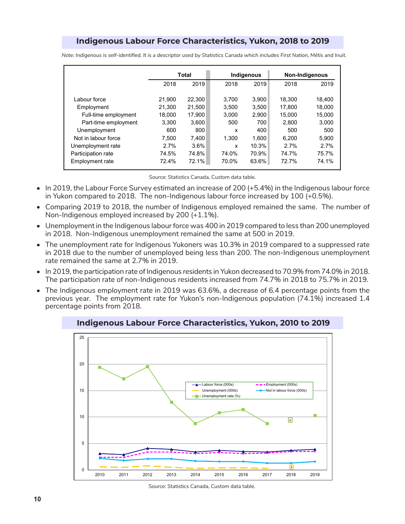# **Indigenous Labour Force Characteristics, Yukon, 2018 to 2019**

|                      |        | <b>Total</b> |       | Indigenous | <b>Non-Indigenous</b> |        |  |
|----------------------|--------|--------------|-------|------------|-----------------------|--------|--|
|                      | 2018   | 2019         | 2018  | 2019       | 2018                  | 2019   |  |
|                      |        |              |       |            |                       |        |  |
| Labour force         | 21.900 | 22,300       | 3.700 | 3.900      | 18,300                | 18,400 |  |
| Employment           | 21.300 | 21.500       | 3.500 | 3.500      | 17.800                | 18.000 |  |
| Full-time employment | 18.000 | 17.900       | 3.000 | 2,900      | 15.000                | 15.000 |  |
| Part-time employment | 3.300  | 3,600        | 500   | 700        | 2.800                 | 3,000  |  |
| Unemployment         | 600    | 800          | x     | 400        | 500                   | 500    |  |
| Not in labour force  | 7.500  | 7.400        | 1.300 | 1.600      | 6.200                 | 5.900  |  |
| Unemployment rate    | 2.7%   | $3.6\%$      | x     | 10.3%      | 2.7%                  | 2.7%   |  |
| Participation rate   | 74.5%  | 74.8%        | 74.0% | 70.9%      | 74.7%                 | 75.7%  |  |
| Employment rate      | 72.4%  | 72.1%        | 70.0% | 63.6%      | 72.7%                 | 74.1%  |  |

*Note: Indigenous is self-identified. It is a descriptor used by Statistics Canada which includes First Nation, Métis and Inuit.*

Source: Statistics Canada, Custom data table.

- In 2019, the Labour Force Survey estimated an increase of 200 (+5.4%) in the Indigenous labour force in Yukon compared to 2018. The non-Indigenous labour force increased by 100 (+0.5%).
- Comparing 2019 to 2018, the number of Indigenous employed remained the same. The number of Non-Indigenous employed increased by 200 (+1.1%).
- Unemployment in the Indigenous labour force was 400 in 2019 compared to less than 200 unemployed in 2018. Non-Indigenous unemployment remained the same at 500 in 2019.
- The unemployment rate for Indigenous Yukoners was 10.3% in 2019 compared to a suppressed rate in 2018 due to the number of unemployed being less than 200. The non-Indigenous unemployment rate remained the same at 2.7% in 2019.
- In 2019, the participation rate of Indigenous residents in Yukon decreased to 70.9% from 74.0% in 2018. The participation rate of non-Indigenous residents increased from 74.7% in 2018 to 75.7% in 2019.
- The Indigenous employment rate in 2019 was 63.6%, a decrease of 6.4 percentage points from the previous year. The employment rate for Yukon's non-Indigenous population (74.1%) increased 1.4 percentage points from 2018.



**Indigenous Labour Force Characteristics, Yukon, 2010 to 2019**

Source: Statistics Canada, Custom data table.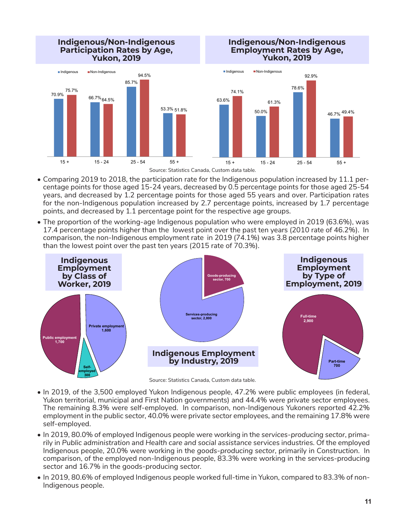

- Comparing 2019 to 2018, the participation rate for the Indigenous population increased by 11.1 percentage points for those aged 15-24 years, decreased by 0.5 percentage points for those aged 25-54 years, and decreased by 1.2 percentage points for those aged 55 years and over. Participation rates for the non-Indigenous population increased by 2.7 percentage points, increased by 1.7 percentage points, and decreased by 1.1 percentage point for the respective age groups.
- The proportion of the working-age Indigenous population who were employed in 2019 (63.6%), was 17.4 percentage points higher than the lowest point over the past ten years (2010 rate of 46.2%). In comparison, the non-Indigenous employment rate in 2019 (74.1%) was 3.8 percentage points higher than the lowest point over the past ten years (2015 rate of 70.3%).



- In 2019, of the 3,500 employed Yukon Indigenous people, 47.2% were public employees (in federal, Yukon territorial, municipal and First Nation governments) and 44.4% were private sector employees. The remaining 8.3% were self-employed. In comparison, non-Indigenous Yukoners reported 42.2% employment in the public sector, 40.0% were private sector employees, and the remaining 17.8% were self-employed.
- In 2019, 80.0% of employed Indigenous people were working in the *services-producing sector*, primarily in *Public administration* and *Health care and social assistance* services industries. Of the employed Indigenous people, 20.0% were working in the *goods-producing sector*, primarily in *Construction*. In comparison, of the employed non-Indigenous people, 83.3% were working in the services-producing sector and 16.7% in the goods-producing sector.
- In 2019, 80.6% of employed Indigenous people worked full-time in Yukon, compared to 83.3% of non-Indigenous people.